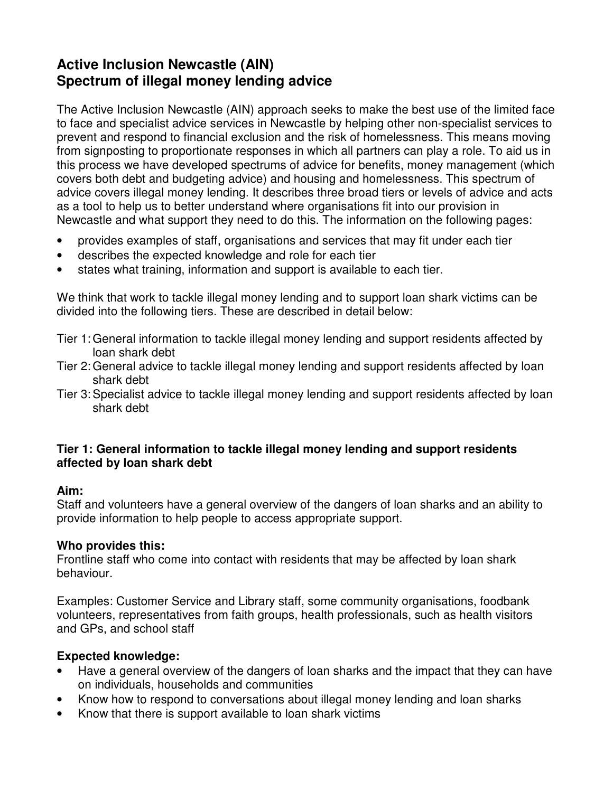# **Active Inclusion Newcastle (AIN) Spectrum of illegal money lending advice**

The Active Inclusion Newcastle (AIN) approach seeks to make the best use of the limited face to face and specialist advice services in Newcastle by helping other non-specialist services to prevent and respond to financial exclusion and the risk of homelessness. This means moving from signposting to proportionate responses in which all partners can play a role. To aid us in this process we have developed spectrums of advice for benefits, money management (which covers both debt and budgeting advice) and housing and homelessness. This spectrum of advice covers illegal money lending. It describes three broad tiers or levels of advice and acts as a tool to help us to better understand where organisations fit into our provision in Newcastle and what support they need to do this. The information on the following pages:

- provides examples of staff, organisations and services that may fit under each tier
- describes the expected knowledge and role for each tier
- states what training, information and support is available to each tier.

We think that work to tackle illegal money lending and to support loan shark victims can be divided into the following tiers. These are described in detail below:

- Tier 1: General information to tackle illegal money lending and support residents affected by loan shark debt
- Tier 2: General advice to tackle illegal money lending and support residents affected by loan shark debt
- Tier 3: Specialist advice to tackle illegal money lending and support residents affected by loan shark debt

#### **Tier 1: General information to tackle illegal money lending and support residents affected by loan shark debt**

#### **Aim:**

Staff and volunteers have a general overview of the dangers of loan sharks and an ability to provide information to help people to access appropriate support.

#### **Who provides this:**

Frontline staff who come into contact with residents that may be affected by loan shark behaviour.

Examples: Customer Service and Library staff, some community organisations, foodbank volunteers, representatives from faith groups, health professionals, such as health visitors and GPs, and school staff

### **Expected knowledge:**

- Have a general overview of the dangers of loan sharks and the impact that they can have on individuals, households and communities
- Know how to respond to conversations about illegal money lending and loan sharks
- Know that there is support available to loan shark victims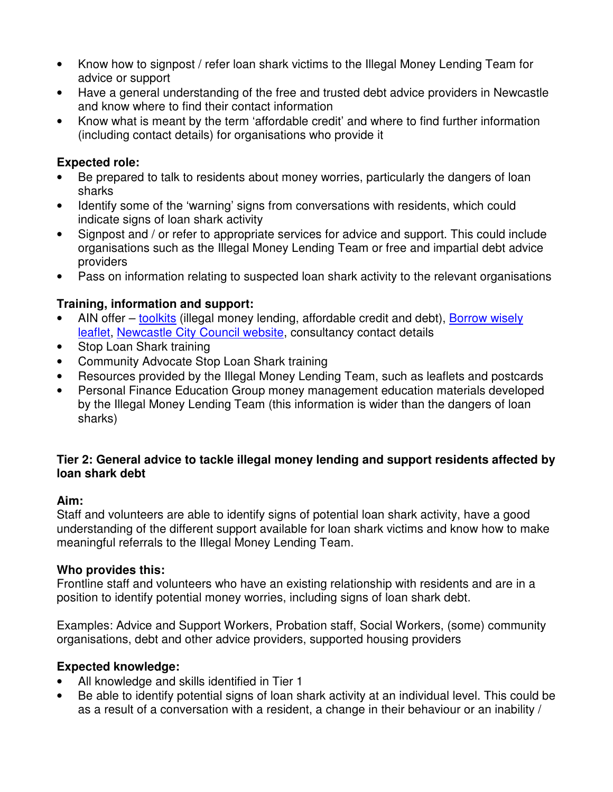- Know how to signpost / refer loan shark victims to the Illegal Money Lending Team for advice or support
- Have a general understanding of the free and trusted debt advice providers in Newcastle and know where to find their contact information
- Know what is meant by the term 'affordable credit' and where to find further information (including contact details) for organisations who provide it

## **Expected role:**

- Be prepared to talk to residents about money worries, particularly the dangers of loan sharks
- Identify some of the 'warning' signs from conversations with residents, which could indicate signs of loan shark activity
- Signpost and / or refer to appropriate services for advice and support. This could include organisations such as the Illegal Money Lending Team or free and impartial debt advice providers
- Pass on information relating to suspected loan shark activity to the relevant organisations

# **Training, information and support:**

- AIN offer toolkits (illegal money lending, affordable credit and debt), Borrow wisely leaflet, Newcastle City Council website, consultancy contact details
- Stop Loan Shark training
- Community Advocate Stop Loan Shark training
- Resources provided by the Illegal Money Lending Team, such as leaflets and postcards
- Personal Finance Education Group money management education materials developed by the Illegal Money Lending Team (this information is wider than the dangers of loan sharks)

#### **Tier 2: General advice to tackle illegal money lending and support residents affected by loan shark debt**

### **Aim:**

Staff and volunteers are able to identify signs of potential loan shark activity, have a good understanding of the different support available for loan shark victims and know how to make meaningful referrals to the Illegal Money Lending Team.

### **Who provides this:**

Frontline staff and volunteers who have an existing relationship with residents and are in a position to identify potential money worries, including signs of loan shark debt.

Examples: Advice and Support Workers, Probation staff, Social Workers, (some) community organisations, debt and other advice providers, supported housing providers

### **Expected knowledge:**

- All knowledge and skills identified in Tier 1
- Be able to identify potential signs of loan shark activity at an individual level. This could be as a result of a conversation with a resident, a change in their behaviour or an inability /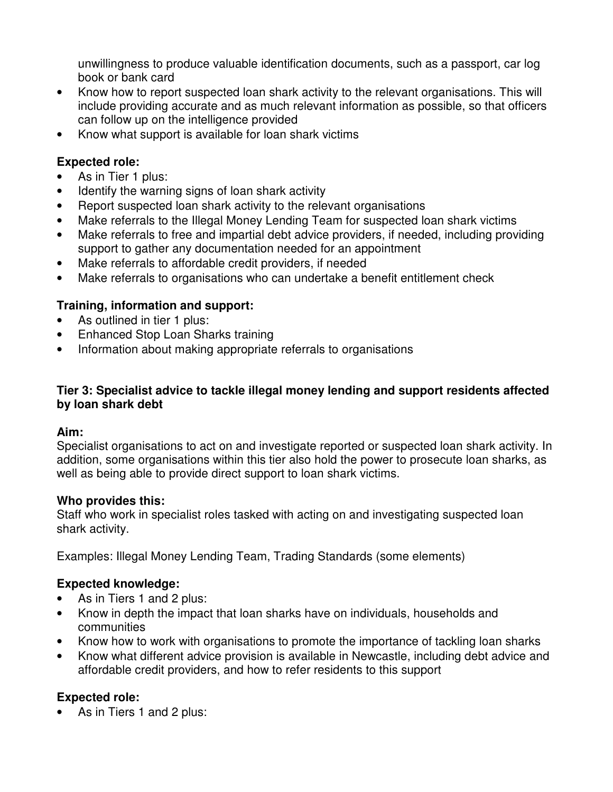unwillingness to produce valuable identification documents, such as a passport, car log book or bank card

- Know how to report suspected loan shark activity to the relevant organisations. This will include providing accurate and as much relevant information as possible, so that officers can follow up on the intelligence provided
- Know what support is available for loan shark victims

## **Expected role:**

- As in Tier 1 plus:
- Identify the warning signs of loan shark activity
- Report suspected loan shark activity to the relevant organisations
- Make referrals to the Illegal Money Lending Team for suspected loan shark victims
- Make referrals to free and impartial debt advice providers, if needed, including providing support to gather any documentation needed for an appointment
- Make referrals to affordable credit providers, if needed
- Make referrals to organisations who can undertake a benefit entitlement check

## **Training, information and support:**

- As outlined in tier 1 plus:
- Enhanced Stop Loan Sharks training
- Information about making appropriate referrals to organisations

### **Tier 3: Specialist advice to tackle illegal money lending and support residents affected by loan shark debt**

### **Aim:**

Specialist organisations to act on and investigate reported or suspected loan shark activity. In addition, some organisations within this tier also hold the power to prosecute loan sharks, as well as being able to provide direct support to loan shark victims.

### **Who provides this:**

Staff who work in specialist roles tasked with acting on and investigating suspected loan shark activity.

Examples: Illegal Money Lending Team, Trading Standards (some elements)

### **Expected knowledge:**

- As in Tiers 1 and 2 plus:
- Know in depth the impact that loan sharks have on individuals, households and communities
- Know how to work with organisations to promote the importance of tackling loan sharks
- Know what different advice provision is available in Newcastle, including debt advice and affordable credit providers, and how to refer residents to this support

# **Expected role:**

• As in Tiers 1 and 2 plus: